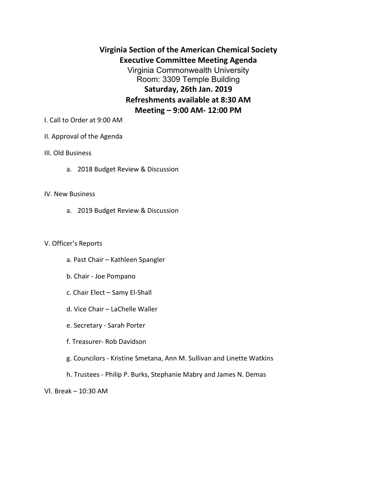**Virginia Section of the American Chemical Society Executive Committee Meeting Agenda** Virginia Commonwealth University Room: 3309 Temple Building **Saturday, 26th Jan. 2019 Refreshments available at 8:30 AM Meeting – 9:00 AM- 12:00 PM**

I. Call to Order at 9:00 AM

# II. Approval of the Agenda

# III. Old Business

a. 2018 Budget Review & Discussion

#### IV. New Business

a. 2019 Budget Review & Discussion

### V. Officer's Reports

- a. Past Chair Kathleen Spangler
- b. Chair Joe Pompano
- c. Chair Elect Samy El-Shall
- d. Vice Chair LaChelle Waller
- e. Secretary Sarah Porter
- f. Treasurer- Rob Davidson
- g. Councilors Kristine Smetana, Ann M. Sullivan and Linette Watkins
- h. Trustees Philip P. Burks, Stephanie Mabry and James N. Demas

VI. Break – 10:30 AM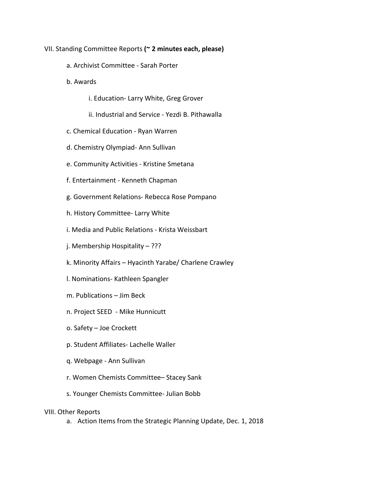- VII. Standing Committee Reports **(~ 2 minutes each, please)**
	- a. Archivist Committee Sarah Porter
	- b. Awards
		- i. Education- Larry White, Greg Grover
		- ii. Industrial and Service Yezdi B. Pithawalla
	- c. Chemical Education Ryan Warren
	- d. Chemistry Olympiad- Ann Sullivan
	- e. Community Activities Kristine Smetana
	- f. Entertainment Kenneth Chapman
	- g. Government Relations- Rebecca Rose Pompano
	- h. History Committee- Larry White
	- i. Media and Public Relations Krista Weissbart
	- j. Membership Hospitality ???
	- k. Minority Affairs Hyacinth Yarabe/ Charlene Crawley
	- l. Nominations- Kathleen Spangler
	- m. Publications Jim Beck
	- n. Project SEED Mike Hunnicutt
	- o. Safety Joe Crockett
	- p. Student Affiliates- Lachelle Waller
	- q. Webpage Ann Sullivan
	- r. Women Chemists Committee– Stacey Sank
	- s. Younger Chemists Committee- Julian Bobb

# VIII. Other Reports

a. Action Items from the Strategic Planning Update, Dec. 1, 2018